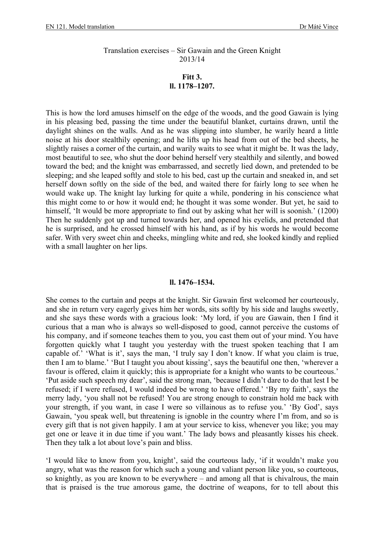## Translation exercises – Sir Gawain and the Green Knight 2013/14

## **Fitt 3. ll. 1178–1207.**

This is how the lord amuses himself on the edge of the woods, and the good Gawain is lying in his pleasing bed, passing the time under the beautiful blanket, curtains drawn, until the daylight shines on the walls. And as he was slipping into slumber, he warily heard a little noise at his door stealthily opening; and he lifts up his head from out of the bed sheets, he slightly raises a corner of the curtain, and warily waits to see what it might be. It was the lady, most beautiful to see, who shut the door behind herself very stealthily and silently, and bowed toward the bed; and the knight was embarrassed, and secretly lied down, and pretended to be sleeping; and she leaped softly and stole to his bed, cast up the curtain and sneaked in, and set herself down softly on the side of the bed, and waited there for fairly long to see when he would wake up. The knight lay lurking for quite a while, pondering in his conscience what this might come to or how it would end; he thought it was some wonder. But yet, he said to himself, 'It would be more appropriate to find out by asking what her will is soonish.' (1200) Then he suddenly got up and turned towards her, and opened his eyelids, and pretended that he is surprised, and he crossed himself with his hand, as if by his words he would become safer. With very sweet chin and cheeks, mingling white and red, she looked kindly and replied with a small laughter on her lips.

## **ll. 1476–1534.**

She comes to the curtain and peeps at the knight. Sir Gawain first welcomed her courteously, and she in return very eagerly gives him her words, sits softly by his side and laughs sweetly, and she says these words with a gracious look: 'My lord, if you are Gawain, then I find it curious that a man who is always so well-disposed to good, cannot perceive the customs of his company, and if someone teaches them to you, you cast them out of your mind. You have forgotten quickly what I taught you yesterday with the truest spoken teaching that I am capable of.' 'What is it', says the man, 'I truly say I don't know. If what you claim is true, then I am to blame.' 'But I taught you about kissing', says the beautiful one then, 'wherever a favour is offered, claim it quickly; this is appropriate for a knight who wants to be courteous.' 'Put aside such speech my dear', said the strong man, 'because I didn't dare to do that lest I be refused; if I were refused, I would indeed be wrong to have offered.' 'By my faith', says the merry lady, 'you shall not be refused! You are strong enough to constrain hold me back with your strength, if you want, in case I were so villainous as to refuse you.' 'By God', says Gawain, 'you speak well, but threatening is ignoble in the country where I'm from, and so is every gift that is not given happily. I am at your service to kiss, whenever you like; you may get one or leave it in due time if you want.' The lady bows and pleasantly kisses his cheek. Then they talk a lot about love's pain and bliss.

'I would like to know from you, knight', said the courteous lady, 'if it wouldn't make you angry, what was the reason for which such a young and valiant person like you, so courteous, so knightly, as you are known to be everywhere – and among all that is chivalrous, the main that is praised is the true amorous game, the doctrine of weapons, for to tell about this